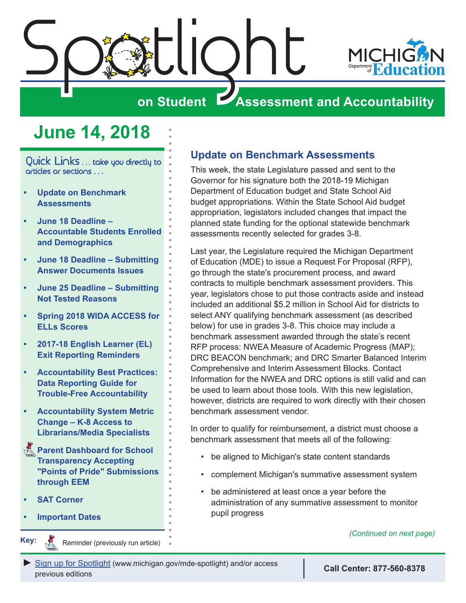<span id="page-0-0"></span>

# **on Student Assessment and Accountability**

# **June 14, 2018**

Quick Links . . . take you directly to articles or sections . . .

- **• Update on Benchmark Assessments**
- **• [June 18 Deadline](#page-1-0)  [Accountable Students Enrolled](#page-1-0)  [and Demographics](#page-1-0)**
- **• [June 18 Deadline Submitting](#page-1-0)  [Answer Documents Issues](#page-1-0)**
- **• [June 25 Deadline Submitting](#page-2-0)  [Not Tested Reasons](#page-2-0)**
- **• [Spring 2018 WIDA ACCESS for](#page-3-0)  [ELLs Scores](#page-3-0)**
- **• [2017-18 English Learner \(EL\)](#page-3-0)  [Exit Reporting Reminders](#page-3-0)**
- **• [Accountability Best Practices:](#page-4-0)  [Data Reporting Guide for](#page-4-0)  [Trouble-Free Accountability](#page-4-0)**
- **• [Accountability System Metric](#page-4-0)  [Change – K-8 Access to](#page-4-0)  [Librarians/Media Specialists](#page-4-0)**
- **Reminder Bashboard for School [Transparency Accepting](#page-5-0)  ["Points of Pride" Submissions](#page-5-0)  [through EEM](#page-5-0)**
- **• [SAT Corner](#page-7-0)**

Reminders

**• [Important Dates](#page-8-0)**

**Key:**

Reminder (previously run article)

### **Update on Benchmark Assessments**

This week, the state Legislature passed and sent to the Governor for his signature both the 2018-19 Michigan Department of Education budget and State School Aid budget appropriations. Within the State School Aid budget appropriation, legislators included changes that impact the planned state funding for the optional statewide benchmark assessments recently selected for grades 3-8.

Last year, the Legislature required the Michigan Department of Education (MDE) to issue a Request For Proposal (RFP), go through the state's procurement process, and award contracts to multiple benchmark assessment providers. This year, legislators chose to put those contracts aside and instead included an additional \$5.2 million in School Aid for districts to select ANY qualifying benchmark assessment (as described below) for use in grades 3-8. This choice may include a benchmark assessment awarded through the state's recent RFP process: NWEA Measure of Academic Progress (MAP); DRC BEACON benchmark; and DRC Smarter Balanced Interim Comprehensive and Interim Assessment Blocks. Contact Information for the NWEA and DRC options is still valid and can be used to learn about those tools. With this new legislation, however, districts are required to work directly with their chosen benchmark assessment vendor.

In order to qualify for reimbursement, a district must choose a benchmark assessment that meets all of the following:

- be aligned to Michigan's state content standards
- complement Michigan's summative assessment system
- be administered at least once a year before the administration of any summative assessment to monitor pupil progress

*(Continued on next page)*

*►* [Sign up for Spotlight](https://public.govdelivery.com/accounts/MIMDE/subscriber/new) [\(www.michigan.gov/mde](www.michigan.gov/mde-spotlight)-spotlight) and/or access previous editions **Call Center: 877-560-8378**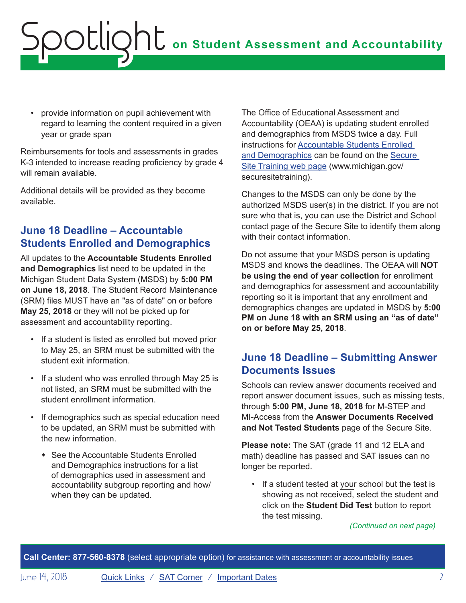<span id="page-1-0"></span>• provide information on pupil achievement with regard to learning the content required in a given year or grade span

Reimbursements for tools and assessments in grades K-3 intended to increase reading proficiency by grade 4 will remain available.

Additional details will be provided as they become available.

## **June 18 Deadline – Accountable Students Enrolled and Demographics**

All updates to the **Accountable Students Enrolled and Demographics** list need to be updated in the Michigan Student Data System (MSDS) by **5:00 PM on June 18, 2018**. The Student Record Maintenance (SRM) files MUST have an "as of date" on or before **May 25, 2018** or they will not be picked up for assessment and accountability reporting.

- If a student is listed as enrolled but moved prior to May 25, an SRM must be submitted with the student exit information.
- If a student who was enrolled through May 25 is not listed, an SRM must be submitted with the student enrollment information.
- If demographics such as special education need to be updated, an SRM must be submitted with the new information.
	- See the Accountable Students Enrolled and Demographics instructions for a list of demographics used in assessment and accountability subgroup reporting and how/ when they can be updated.

The Office of Educational Assessment and Accountability (OEAA) is updating student enrolled and demographics from MSDS twice a day. Full instructions for [Accountable Students Enrolled](https://www.michigan.gov/documents/mde/Accountable_Students_Enrolled_and_Demographics_621314_7.pdf)  [and Demographics](https://www.michigan.gov/documents/mde/Accountable_Students_Enrolled_and_Demographics_621314_7.pdf) can be found on the [Secure](http://www.michigan.gov/securesitetraining)  [Site Training web page](http://www.michigan.gov/securesitetraining) (www.michigan.gov/ securesitetraining).

Changes to the MSDS can only be done by the authorized MSDS user(s) in the district. If you are not sure who that is, you can use the District and School contact page of the Secure Site to identify them along with their contact information.

Do not assume that your MSDS person is updating MSDS and knows the deadlines. The OEAA will **NOT be using the end of year collection** for enrollment and demographics for assessment and accountability reporting so it is important that any enrollment and demographics changes are updated in MSDS by **5:00 PM on June 18 with an SRM using an "as of date" on or before May 25, 2018**.

## **June 18 Deadline – Submitting Answer Documents Issues**

Schools can review answer documents received and report answer document issues, such as missing tests, through **5:00 PM, June 18, 2018** for M-STEP and MI-Access from the **Answer Documents Received and Not Tested Students** page of the Secure Site.

**Please note:** The SAT (grade 11 and 12 ELA and math) deadline has passed and SAT issues can no longer be reported.

• If a student tested at your school but the test is showing as not received, select the student and click on the **Student Did Test** button to report the test missing.

*(Continued on next page)*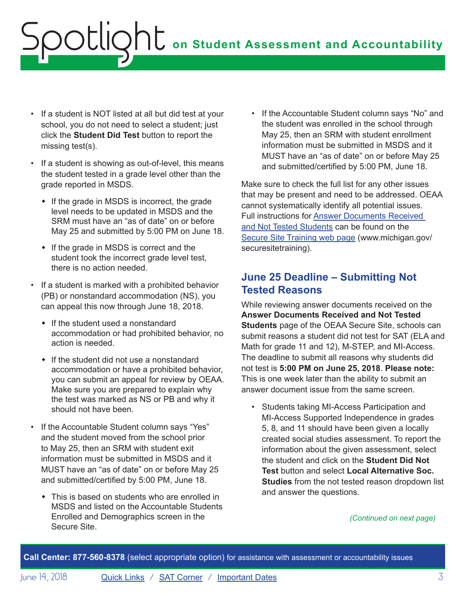- <span id="page-2-0"></span>• If a student is NOT listed at all but did test at your school, you do not need to select a student; just click the **Student Did Test** button to report the missing test(s).
- If a student is showing as out-of-level, this means the student tested in a grade level other than the grade reported in MSDS.
	- $\bullet$  If the grade in MSDS is incorrect, the grade level needs to be updated in MSDS and the SRM must have an "as of date" on or before May 25 and submitted by 5:00 PM on June 18.
	- $\cdot$  If the grade in MSDS is correct and the student took the incorrect grade level test, there is no action needed.
- If a student is marked with a prohibited behavior (PB) or nonstandard accommodation (NS), you can appeal this now through June 18, 2018.
	- $\cdot$  If the student used a nonstandard accommodation or had prohibited behavior, no action is needed.
	- $\cdot$  If the student did not use a nonstandard accommodation or have a prohibited behavior, you can submit an appeal for review by OEAA. Make sure you are prepared to explain why the test was marked as NS or PB and why it should not have been.
- If the Accountable Student column says "Yes" and the student moved from the school prior to May 25, then an SRM with student exit information must be submitted in MSDS and it MUST have an "as of date" on or before May 25 and submitted/certified by 5:00 PM, June 18.
	- $\bullet$  This is based on students who are enrolled in MSDS and listed on the Accountable Students Enrolled and Demographics screen in the Secure Site.

• If the Accountable Student column says "No" and the student was enrolled in the school through May 25, then an SRM with student enrollment information must be submitted in MSDS and it MUST have an "as of date" on or before May 25 and submitted/certified by 5:00 PM, June 18.

Make sure to check the full list for any other issues that may be present and need to be addressed. OEAA cannot systematically identify all potential issues. Full instructions for [Answer Documents Received](https://www.michigan.gov/documents/mde/Answer_Documents_Received_and_Not_Tested_Students_instructions_623116_7.pdf)  [and Not Tested Students](https://www.michigan.gov/documents/mde/Answer_Documents_Received_and_Not_Tested_Students_instructions_623116_7.pdf) can be found on the [Secure Site Training web page](http://www.michigan.gov/securesitetraining) (www.michigan.gov/ securesitetraining).

## **June 25 Deadline – Submitting Not Tested Reasons**

While reviewing answer documents received on the **Answer Documents Received and Not Tested Students** page of the OEAA Secure Site, schools can submit reasons a student did not test for SAT (ELA and Math for grade 11 and 12), M-STEP, and MI-Access. The deadline to submit all reasons why students did not test is **5:00 PM on June 25, 2018**. **Please note:** This is one week later than the ability to submit an answer document issue from the same screen.

• Students taking MI-Access Participation and MI-Access Supported Independence in grades 5, 8, and 11 should have been given a locally created social studies assessment. To report the information about the given assessment, select the student and click on the **Student Did Not Test** button and select **Local Alternative Soc. Studies** from the not tested reason dropdown list and answer the questions.

### *(Continued on next page)*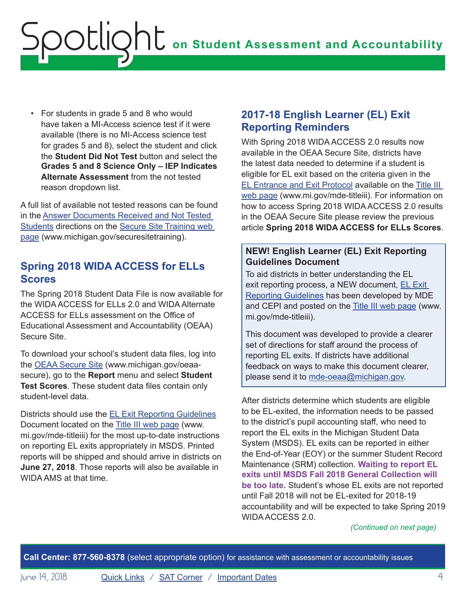<span id="page-3-0"></span>• For students in grade 5 and 8 who would have taken a MI-Access science test if it were available (there is no MI-Access science test for grades 5 and 8), select the student and click the **Student Did Not Test** button and select the **Grades 5 and 8 Science Only – IEP Indicates Alternate Assessment** from the not tested reason dropdown list.

A full list of available not tested reasons can be found in the [Answer Documents Received and Not Tested](https://www.michigan.gov/documents/mde/Answer_Documents_Received_and_Not_Tested_Students_instructions_623116_7.pdf)  [Students](https://www.michigan.gov/documents/mde/Answer_Documents_Received_and_Not_Tested_Students_instructions_623116_7.pdf) directions on the [Secure Site Training web](http://www.michigan.gov/securesitetraining)  [page](http://www.michigan.gov/securesitetraining) (www.michigan.gov/securesitetraining).

### **Spring 2018 WIDA ACCESS for ELLs Scores**

The Spring 2018 Student Data File is now available for the WIDA ACCESS for ELLs 2.0 and WIDA Alternate ACCESS for ELLs assessment on the Office of Educational Assessment and Accountability (OEAA) Secure Site.

To download your school's student data files, log into the [OEAA Secure Site](http://www.michigan.gov/oeaa-secure) (www.michigan.gov/oeaasecure), go to the **Report** menu and select **Student Test Scores**. These student data files contain only student-level data.

Districts should use the [EL Exit Reporting Guidelines](https://www.michigan.gov/documents/mde/English_Learner_EL_Exit_Reporting_Guidelines_624626_7.pdf) Document located on the [Title III web page](http://www.mi.gov/mde-titleiii) (www. mi.gov/mde-titleiii) for the most up-to-date instructions on reporting EL exits appropriately in MSDS. Printed reports will be shipped and should arrive in districts on **June 27, 2018**. Those reports will also be available in WIDA AMS at that time.

### <span id="page-3-1"></span>**2017-18 English Learner (EL) Exit Reporting Reminders**

With Spring 2018 WIDA ACCESS 2.0 results now available in the OEAA Secure Site, districts have the latest data needed to determine if a student is eligible for EL exit based on the criteria given in the [EL Entrance and Exit Protocol](https://www.michigan.gov/documents/mde/Entrance_and_Exit_Protocol_updated_May_2016_550634_7.pdf) available on the [Title III](http://www.mi.gov/mde-titleiii)  [web page](http://www.mi.gov/mde-titleiii) (www.mi.gov/mde-titleiii). For information on how to access Spring 2018 WIDA ACCESS 2.0 results in the OEAA Secure Site please review the previous article **Spring 2018 WIDA ACCESS for ELLs Scores**.

### **NEW! English Learner (EL) Exit Reporting Guidelines Document**

To aid districts in better understanding the EL exit reporting process, a NEW document, [EL Exit](https://www.michigan.gov/documents/mde/English_Learner_EL_Exit_Reporting_Guidelines_624626_7.pdf)  [Reporting Guidelines](https://www.michigan.gov/documents/mde/English_Learner_EL_Exit_Reporting_Guidelines_624626_7.pdf) has been developed by MDE and CEPI and posted on the [Title III web page](http://www.mi.gov/mde-titleiii) (www. mi.gov/mde-titleiii).

This document was developed to provide a clearer set of directions for staff around the process of reporting EL exits. If districts have additional feedback on ways to make this document clearer, please send it to [mde-oeaa@michigan.gov.](mailto:mde-oeaa%40michigan.gov?subject=)

After districts determine which students are eligible to be EL-exited, the information needs to be passed to the district's pupil accounting staff, who need to report the EL exits in the Michigan Student Data System (MSDS). EL exits can be reported in either the End-of-Year (EOY) or the summer Student Record Maintenance (SRM) collection. **Waiting to report EL exits until MSDS Fall 2018 General Collection will be too late.** Student's whose EL exits are not reported until Fall 2018 will not be EL-exited for 2018-19 accountability and will be expected to take Spring 2019 WIDA ACCESS 2.0.

*(Continued on next page)*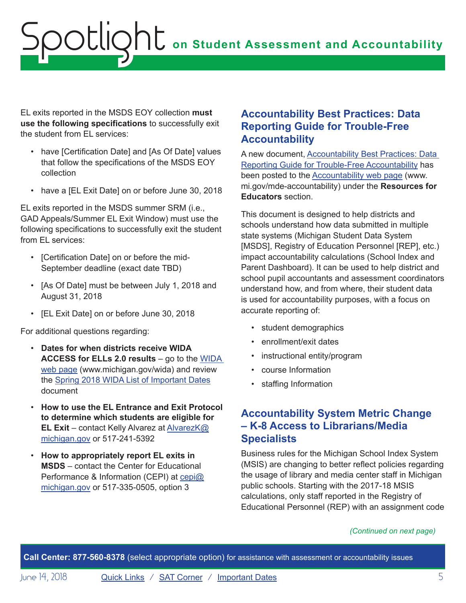<span id="page-4-0"></span>EL exits reported in the MSDS EOY collection **must use the following specifications** to successfully exit the student from EL services:

- have [Certification Date] and [As Of Date] values that follow the specifications of the MSDS EOY collection
- have a [EL Exit Date] on or before June 30, 2018

EL exits reported in the MSDS summer SRM (i.e., GAD Appeals/Summer EL Exit Window) must use the following specifications to successfully exit the student from FL services:

- [Certification Date] on or before the mid-September deadline (exact date TBD)
- [As Of Date] must be between July 1, 2018 and August 31, 2018
- [EL Exit Date] on or before June 30, 2018

For additional questions regarding:

- **Dates for when districts receive WIDA ACCESS for ELLs 2.0 results** – go to the [WIDA](www.michigan.gov/wida)  [web page](www.michigan.gov/wida) (www.michigan.gov/wida) and review the [Spring 2018 WIDA List of Important Dates](https://www.michigan.gov/documents/mde/S18_WIDA_list_of_Important_Dates_ada_602697_7.pdf) document
- **How to use the EL Entrance and Exit Protocol to determine which students are eligible for EL Exit** – contact Kelly Alvarez at [AlvarezK@](mailto:AlvarezK%40michigan.gov?subject=) [michigan.gov](mailto:AlvarezK%40michigan.gov?subject=) or 517-241-5392
- **How to appropriately report EL exits in MSDS** – contact the Center for Educational Performance & Information (CEPI) at [cepi@](mailto:cepi%40michigan.gov?subject=) [michigan.gov](mailto:cepi%40michigan.gov?subject=) or 517-335-0505, option 3

### **Accountability Best Practices: Data Reporting Guide for Trouble-Free Accountability**

A new document, [Accountability Best Practices: Data](https://www.michigan.gov/documents/mde/Accountability_Best_Practices_625027_7.pdf)  [Reporting Guide for Trouble-Free Accountability](https://www.michigan.gov/documents/mde/Accountability_Best_Practices_625027_7.pdf) has been posted to the [Accountability web page](http://www.mi.gov/mde-accountability) (www. mi.gov/mde-accountability) under the **Resources for Educators** section.

This document is designed to help districts and schools understand how data submitted in multiple state systems (Michigan Student Data System [MSDS], Registry of Education Personnel [REP], etc.) impact accountability calculations (School Index and Parent Dashboard). It can be used to help district and school pupil accountants and assessment coordinators understand how, and from where, their student data is used for accountability purposes, with a focus on accurate reporting of:

- student demographics
- enrollment/exit dates
- instructional entity/program
- course Information
- staffing Information

### **Accountability System Metric Change – K-8 Access to Librarians/Media Specialists**

Business rules for the Michigan School Index System (MSIS) are changing to better reflect policies regarding the usage of library and media center staff in Michigan public schools. Starting with the 2017-18 MSIS calculations, only staff reported in the Registry of Educational Personnel (REP) with an assignment code

### *(Continued on next page)*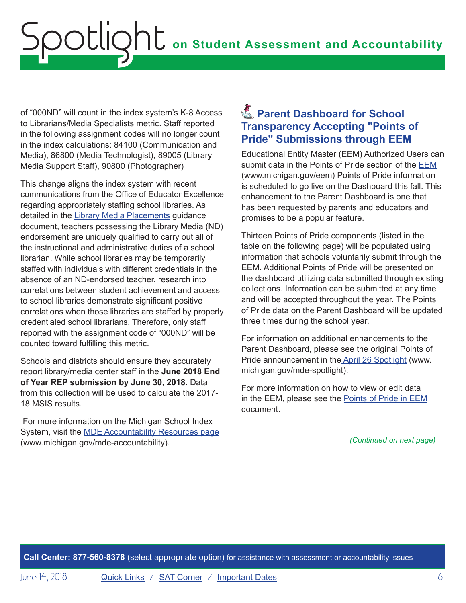<span id="page-5-0"></span>of "000ND" will count in the index system's K-8 Access to Librarians/Media Specialists metric. Staff reported in the following assignment codes will no longer count in the index calculations: 84100 (Communication and Media), 86800 (Media Technologist), 89005 (Library Media Support Staff), 90800 (Photographer)

This change aligns the index system with recent communications from the Office of Educator Excellence regarding appropriately staffing school libraries. As detailed in the [Library Media Placements guidance](https://www.michigan.gov/documents/mde/Library_Media_Placements_606360_7.PDF) document, teachers possessing the Library Media (ND) endorsement are uniquely qualified to carry out all of the instructional and administrative duties of a school librarian. While school libraries may be temporarily staffed with individuals with different credentials in the absence of an ND-endorsed teacher, research into correlations between student achievement and access to school libraries demonstrate significant positive correlations when those libraries are staffed by properly credentialed school librarians. Therefore, only staff reported with the assignment code of "000ND" will be counted toward fulfilling this metric.

Schools and districts should ensure they accurately report library/media center staff in the **June 2018 End of Year REP submission by June 30, 2018**. Data from this collection will be used to calculate the 2017- 18 MSIS results.

 For more information on the Michigan School Index System, visit the [MDE Accountability Resources page](http://www.mi.gov/mde-accountability) (www.michigan.gov/mde-accountability).

# **A** Parent Dashboard for School **Transparency Accepting "Points of Pride" Submissions through EEM**

Educational Entity Master (EEM) Authorized Users can submit data in the Points of Pride section of the [EEM](www.michigan.gov/EEM) (www.michigan.gov/eem) Points of Pride information is scheduled to go live on the Dashboard this fall. This enhancement to the Parent Dashboard is one that has been requested by parents and educators and promises to be a popular feature.

Thirteen Points of Pride components (listed in the table on the following page) will be populated using information that schools voluntarily submit through the EEM. Additional Points of Pride will be presented on the dashboard utilizing data submitted through existing collections. Information can be submitted at any time and will be accepted throughout the year. The Points of Pride data on the Parent Dashboard will be updated three times during the school year.

For information on additional enhancements to the Parent Dashboard, please see the original Points of Pride announcement in the [April 26 Spotlight](https://www.michigan.gov/documents/mde/Spotlight_4-26-18_621546_7.pdf) (www. michigan.gov/mde-spotlight).

For more information on how to view or edit data in the EEM, please see the [Points of Pride in EEM](https://www.michigan.gov/documents/training/EEM_and_PoP_621788_7.pdf) document.

*(Continued on next page)*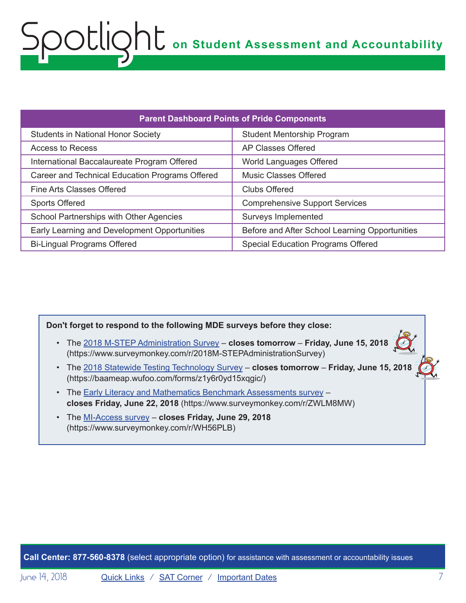| <b>Parent Dashboard Points of Pride Components</b> |                                                |
|----------------------------------------------------|------------------------------------------------|
| <b>Students in National Honor Society</b>          | <b>Student Mentorship Program</b>              |
| Access to Recess                                   | <b>AP Classes Offered</b>                      |
| International Baccalaureate Program Offered        | World Languages Offered                        |
| Career and Technical Education Programs Offered    | <b>Music Classes Offered</b>                   |
| Fine Arts Classes Offered                          | <b>Clubs Offered</b>                           |
| <b>Sports Offered</b>                              | <b>Comprehensive Support Services</b>          |
| School Partnerships with Other Agencies            | Surveys Implemented                            |
| Early Learning and Development Opportunities       | Before and After School Learning Opportunities |
| <b>Bi-Lingual Programs Offered</b>                 | Special Education Programs Offered             |

**Don't forget to respond to the following MDE surveys before they close:**

- The [2018 M-STEP Administration Survey](https://www.surveymonkey.com/r/2018M-STEPAdministrationSurvey) **closes tomorrow Friday, June 15, 2018** (https://www.surveymonkey.com/r/2018M-STEPAdministrationSurvey)
- The [2018 Statewide Testing Technology Survey](https://baameap.wufoo.com/forms/z1y6r0yd15xqgic/) **closes tomorrow Friday, June 15, 2018** (https://baameap.wufoo.com/forms/z1y6r0yd15xqgic/)
- The [Early Literacy and Mathematics Benchmark Assessments survey](https://www.surveymonkey.com/r/ZWLM8MW) **closes Friday, June 22, 2018** (https://www.surveymonkey.com/r/ZWLM8MW)
- The [MI-Access survey](https://www.surveymonkey.com/r/WH56PLB)  **closes Friday, June 29, 2018** (https://www.surveymonkey.com/r/WH56PLB)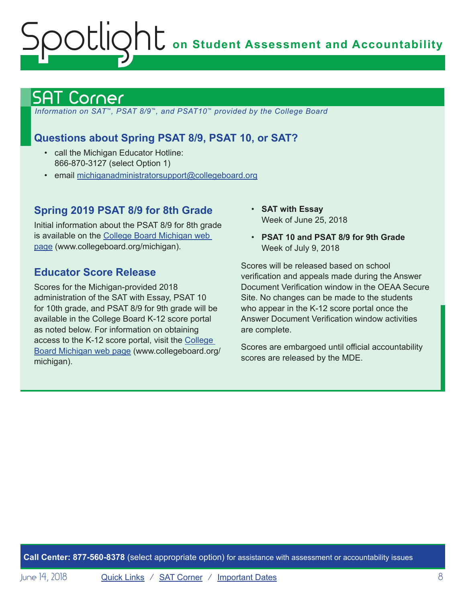# <span id="page-7-1"></span><span id="page-7-0"></span>Corner

 *Information on SAT*™*, PSAT 8/9*™*, and PSAT10*™ *provided by the College Board*

## **Questions about Spring PSAT 8/9, PSAT 10, or SAT?**

- call the Michigan Educator Hotline: 866-870-3127 (select Option 1)
- email [michiganadministratorsupport@collegeboard.org](mailto:michiganadministratorsupport%40collegeboard.org?subject=)

### **Spring 2019 PSAT 8/9 for 8th Grade**

Initial information about the PSAT 8/9 for 8th grade is available on the [College Board Michigan web](http://www.act.org/stateanddistrict/michigan)  [page](http://www.act.org/stateanddistrict/michigan) (www.collegeboard.org/michigan).

### **Educator Score Release**

Scores for the Michigan-provided 2018 administration of the SAT with Essay, PSAT 10 for 10th grade, and PSAT 8/9 for 9th grade will be available in the College Board K-12 score portal as noted below. For information on obtaining access to the K-12 score portal, visit the [College](http://www.act.org/stateanddistrict/michigan)  [Board Michigan web page](http://www.act.org/stateanddistrict/michigan) (www.collegeboard.org/ michigan).

- **SAT with Essay** Week of June 25, 2018
- **PSAT 10 and PSAT 8/9 for 9th Grade** Week of July 9, 2018

Scores will be released based on school verification and appeals made during the Answer Document Verification window in the OEAA Secure Site. No changes can be made to the students who appear in the K-12 score portal once the Answer Document Verification window activities are complete.

Scores are embargoed until official accountability scores are released by the MDE.